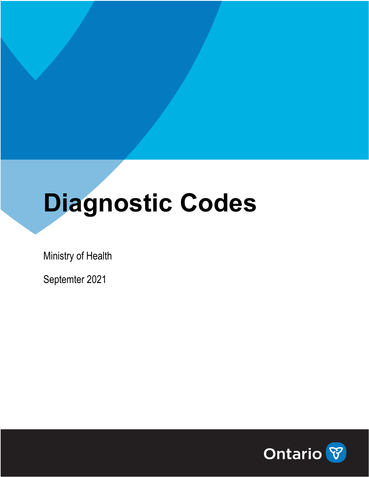# **Diagnostic Codes**

Ministry of Health

Septemter 2021

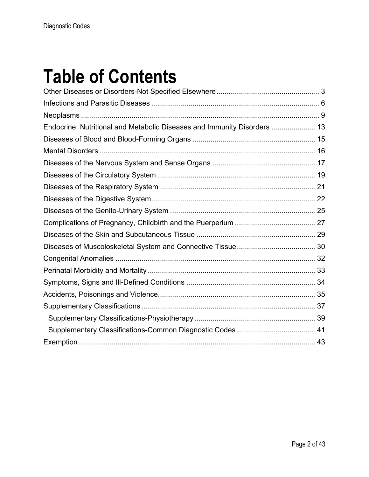#### **Table of Contents**

| Endocrine, Nutritional and Metabolic Diseases and Immunity Disorders  13 |  |
|--------------------------------------------------------------------------|--|
|                                                                          |  |
|                                                                          |  |
|                                                                          |  |
|                                                                          |  |
|                                                                          |  |
|                                                                          |  |
|                                                                          |  |
|                                                                          |  |
|                                                                          |  |
|                                                                          |  |
|                                                                          |  |
|                                                                          |  |
|                                                                          |  |
|                                                                          |  |
|                                                                          |  |
|                                                                          |  |
|                                                                          |  |
|                                                                          |  |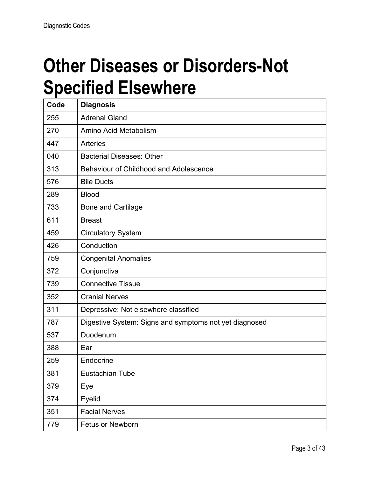#### **Other Diseases or Disorders-Not Specified Elsewhere**

| Code | <b>Diagnosis</b>                                       |
|------|--------------------------------------------------------|
| 255  | <b>Adrenal Gland</b>                                   |
| 270  | Amino Acid Metabolism                                  |
| 447  | <b>Arteries</b>                                        |
| 040  | <b>Bacterial Diseases: Other</b>                       |
| 313  | <b>Behaviour of Childhood and Adolescence</b>          |
| 576  | <b>Bile Ducts</b>                                      |
| 289  | <b>Blood</b>                                           |
| 733  | <b>Bone and Cartilage</b>                              |
| 611  | <b>Breast</b>                                          |
| 459  | <b>Circulatory System</b>                              |
| 426  | Conduction                                             |
| 759  | <b>Congenital Anomalies</b>                            |
| 372  | Conjunctiva                                            |
| 739  | <b>Connective Tissue</b>                               |
| 352  | <b>Cranial Nerves</b>                                  |
| 311  | Depressive: Not elsewhere classified                   |
| 787  | Digestive System: Signs and symptoms not yet diagnosed |
| 537  | Duodenum                                               |
| 388  | Ear                                                    |
| 259  | Endocrine                                              |
| 381  | Eustachian Tube                                        |
| 379  | Eye                                                    |
| 374  | Eyelid                                                 |
| 351  | <b>Facial Nerves</b>                                   |
| 779  | <b>Fetus or Newborn</b>                                |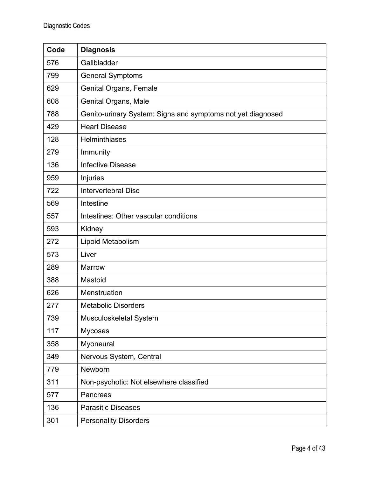| Code | <b>Diagnosis</b>                                            |
|------|-------------------------------------------------------------|
| 576  | Gallbladder                                                 |
| 799  | <b>General Symptoms</b>                                     |
| 629  | <b>Genital Organs, Female</b>                               |
| 608  | Genital Organs, Male                                        |
| 788  | Genito-urinary System: Signs and symptoms not yet diagnosed |
| 429  | <b>Heart Disease</b>                                        |
| 128  | <b>Helminthiases</b>                                        |
| 279  | Immunity                                                    |
| 136  | <b>Infective Disease</b>                                    |
| 959  | Injuries                                                    |
| 722  | <b>Intervertebral Disc</b>                                  |
| 569  | Intestine                                                   |
| 557  | Intestines: Other vascular conditions                       |
| 593  | Kidney                                                      |
| 272  | Lipoid Metabolism                                           |
| 573  | Liver                                                       |
| 289  | <b>Marrow</b>                                               |
| 388  | Mastoid                                                     |
| 626  | Menstruation                                                |
| 277  | <b>Metabolic Disorders</b>                                  |
| 739  | Musculoskeletal System                                      |
| 117  | <b>Mycoses</b>                                              |
| 358  | Myoneural                                                   |
| 349  | Nervous System, Central                                     |
| 779  | Newborn                                                     |
| 311  | Non-psychotic: Not elsewhere classified                     |
| 577  | Pancreas                                                    |
| 136  | <b>Parasitic Diseases</b>                                   |
| 301  | <b>Personality Disorders</b>                                |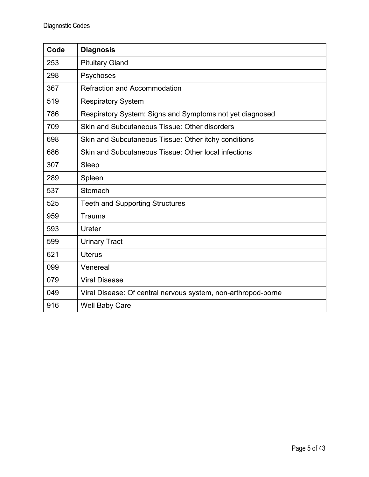| Code | <b>Diagnosis</b>                                              |
|------|---------------------------------------------------------------|
| 253  | <b>Pituitary Gland</b>                                        |
| 298  | Psychoses                                                     |
| 367  | <b>Refraction and Accommodation</b>                           |
| 519  | <b>Respiratory System</b>                                     |
| 786  | Respiratory System: Signs and Symptoms not yet diagnosed      |
| 709  | Skin and Subcutaneous Tissue: Other disorders                 |
| 698  | Skin and Subcutaneous Tissue: Other itchy conditions          |
| 686  | Skin and Subcutaneous Tissue: Other local infections          |
| 307  | Sleep                                                         |
| 289  | Spleen                                                        |
| 537  | Stomach                                                       |
| 525  | <b>Teeth and Supporting Structures</b>                        |
| 959  | Trauma                                                        |
| 593  | Ureter                                                        |
| 599  | <b>Urinary Tract</b>                                          |
| 621  | <b>Uterus</b>                                                 |
| 099  | Venereal                                                      |
| 079  | <b>Viral Disease</b>                                          |
| 049  | Viral Disease: Of central nervous system, non-arthropod-borne |
| 916  | <b>Well Baby Care</b>                                         |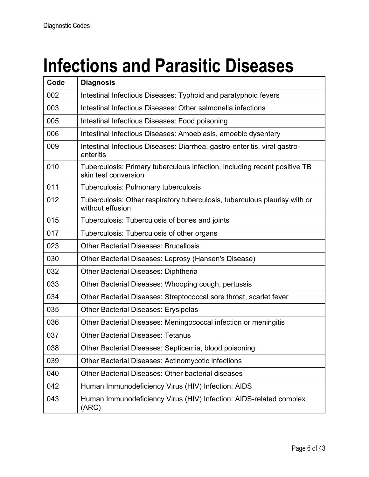### **Infections and Parasitic Diseases**

| Code | <b>Diagnosis</b>                                                                                  |
|------|---------------------------------------------------------------------------------------------------|
| 002  | Intestinal Infectious Diseases: Typhoid and paratyphoid fevers                                    |
| 003  | Intestinal Infectious Diseases: Other salmonella infections                                       |
| 005  | Intestinal Infectious Diseases: Food poisoning                                                    |
| 006  | Intestinal Infectious Diseases: Amoebiasis, amoebic dysentery                                     |
| 009  | Intestinal Infectious Diseases: Diarrhea, gastro-enteritis, viral gastro-<br>enteritis            |
| 010  | Tuberculosis: Primary tuberculous infection, including recent positive TB<br>skin test conversion |
| 011  | <b>Tuberculosis: Pulmonary tuberculosis</b>                                                       |
| 012  | Tuberculosis: Other respiratory tuberculosis, tuberculous pleurisy with or<br>without effusion    |
| 015  | Tuberculosis: Tuberculosis of bones and joints                                                    |
| 017  | Tuberculosis: Tuberculosis of other organs                                                        |
| 023  | <b>Other Bacterial Diseases: Brucellosis</b>                                                      |
| 030  | Other Bacterial Diseases: Leprosy (Hansen's Disease)                                              |
| 032  | <b>Other Bacterial Diseases: Diphtheria</b>                                                       |
| 033  | Other Bacterial Diseases: Whooping cough, pertussis                                               |
| 034  | Other Bacterial Diseases: Streptococcal sore throat, scarlet fever                                |
| 035  | <b>Other Bacterial Diseases: Erysipelas</b>                                                       |
| 036  | Other Bacterial Diseases: Meningococcal infection or meningitis                                   |
| 037  | <b>Other Bacterial Diseases: Tetanus</b>                                                          |
| 038  | Other Bacterial Diseases: Septicemia, blood poisoning                                             |
| 039  | Other Bacterial Diseases: Actinomycotic infections                                                |
| 040  | Other Bacterial Diseases: Other bacterial diseases                                                |
| 042  | Human Immunodeficiency Virus (HIV) Infection: AIDS                                                |
| 043  | Human Immunodeficiency Virus (HIV) Infection: AIDS-related complex<br>(ARC)                       |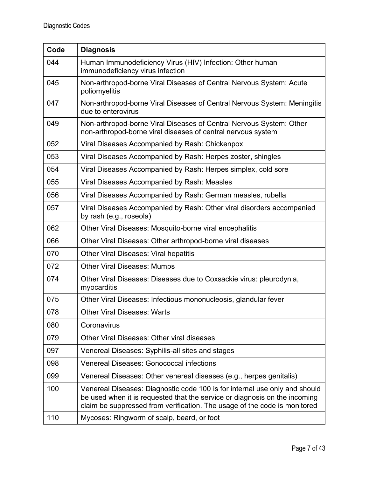| Code | <b>Diagnosis</b>                                                                                                                                                                                                                      |
|------|---------------------------------------------------------------------------------------------------------------------------------------------------------------------------------------------------------------------------------------|
| 044  | Human Immunodeficiency Virus (HIV) Infection: Other human<br>immunodeficiency virus infection                                                                                                                                         |
| 045  | Non-arthropod-borne Viral Diseases of Central Nervous System: Acute<br>poliomyelitis                                                                                                                                                  |
| 047  | Non-arthropod-borne Viral Diseases of Central Nervous System: Meningitis<br>due to enterovirus                                                                                                                                        |
| 049  | Non-arthropod-borne Viral Diseases of Central Nervous System: Other<br>non-arthropod-borne viral diseases of central nervous system                                                                                                   |
| 052  | Viral Diseases Accompanied by Rash: Chickenpox                                                                                                                                                                                        |
| 053  | Viral Diseases Accompanied by Rash: Herpes zoster, shingles                                                                                                                                                                           |
| 054  | Viral Diseases Accompanied by Rash: Herpes simplex, cold sore                                                                                                                                                                         |
| 055  | Viral Diseases Accompanied by Rash: Measles                                                                                                                                                                                           |
| 056  | Viral Diseases Accompanied by Rash: German measles, rubella                                                                                                                                                                           |
| 057  | Viral Diseases Accompanied by Rash: Other viral disorders accompanied<br>by rash (e.g., roseola)                                                                                                                                      |
| 062  | Other Viral Diseases: Mosquito-borne viral encephalitis                                                                                                                                                                               |
| 066  | Other Viral Diseases: Other arthropod-borne viral diseases                                                                                                                                                                            |
| 070  | <b>Other Viral Diseases: Viral hepatitis</b>                                                                                                                                                                                          |
| 072  | <b>Other Viral Diseases: Mumps</b>                                                                                                                                                                                                    |
| 074  | Other Viral Diseases: Diseases due to Coxsackie virus: pleurodynia,<br>myocarditis                                                                                                                                                    |
| 075  | Other Viral Diseases: Infectious mononucleosis, glandular fever                                                                                                                                                                       |
| 078  | <b>Other Viral Diseases: Warts</b>                                                                                                                                                                                                    |
| 080  | Coronavirus                                                                                                                                                                                                                           |
| 079  | Other Viral Diseases: Other viral diseases                                                                                                                                                                                            |
| 097  | Venereal Diseases: Syphilis-all sites and stages                                                                                                                                                                                      |
| 098  | <b>Venereal Diseases: Gonococcal infections</b>                                                                                                                                                                                       |
| 099  | Venereal Diseases: Other venereal diseases (e.g., herpes genitalis)                                                                                                                                                                   |
| 100  | Venereal Diseases: Diagnostic code 100 is for internal use only and should<br>be used when it is requested that the service or diagnosis on the incoming<br>claim be suppressed from verification. The usage of the code is monitored |
| 110  | Mycoses: Ringworm of scalp, beard, or foot                                                                                                                                                                                            |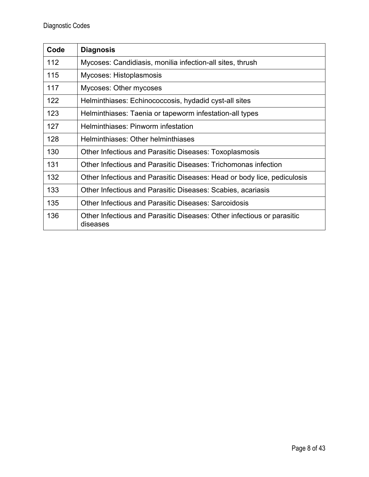| Code | <b>Diagnosis</b>                                                                   |
|------|------------------------------------------------------------------------------------|
| 112  | Mycoses: Candidiasis, monilia infection-all sites, thrush                          |
| 115  | Mycoses: Histoplasmosis                                                            |
| 117  | Mycoses: Other mycoses                                                             |
| 122  | Helminthiases: Echinococcosis, hydadid cyst-all sites                              |
| 123  | Helminthiases: Taenia or tapeworm infestation-all types                            |
| 127  | Helminthiases: Pinworm infestation                                                 |
| 128  | Helminthiases: Other helminthiases                                                 |
| 130  | Other Infectious and Parasitic Diseases: Toxoplasmosis                             |
| 131  | Other Infectious and Parasitic Diseases: Trichomonas infection                     |
| 132  | Other Infectious and Parasitic Diseases: Head or body lice, pediculosis            |
| 133  | Other Infectious and Parasitic Diseases: Scabies, acariasis                        |
| 135  | Other Infectious and Parasitic Diseases: Sarcoidosis                               |
| 136  | Other Infectious and Parasitic Diseases: Other infectious or parasitic<br>diseases |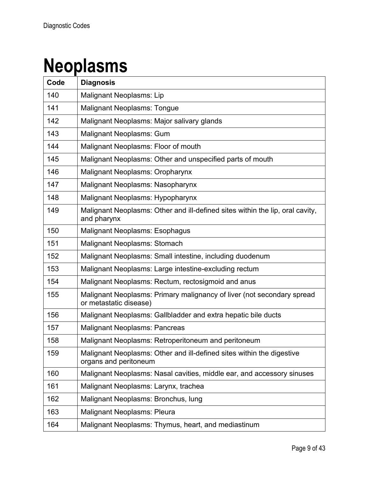### **Neoplasms**

| Code | <b>Diagnosis</b>                                                                                 |
|------|--------------------------------------------------------------------------------------------------|
| 140  | Malignant Neoplasms: Lip                                                                         |
| 141  | <b>Malignant Neoplasms: Tongue</b>                                                               |
| 142  | Malignant Neoplasms: Major salivary glands                                                       |
| 143  | <b>Malignant Neoplasms: Gum</b>                                                                  |
| 144  | Malignant Neoplasms: Floor of mouth                                                              |
| 145  | Malignant Neoplasms: Other and unspecified parts of mouth                                        |
| 146  | Malignant Neoplasms: Oropharynx                                                                  |
| 147  | Malignant Neoplasms: Nasopharynx                                                                 |
| 148  | Malignant Neoplasms: Hypopharynx                                                                 |
| 149  | Malignant Neoplasms: Other and ill-defined sites within the lip, oral cavity,<br>and pharynx     |
| 150  | <b>Malignant Neoplasms: Esophagus</b>                                                            |
| 151  | <b>Malignant Neoplasms: Stomach</b>                                                              |
| 152  | Malignant Neoplasms: Small intestine, including duodenum                                         |
| 153  | Malignant Neoplasms: Large intestine-excluding rectum                                            |
| 154  | Malignant Neoplasms: Rectum, rectosigmoid and anus                                               |
| 155  | Malignant Neoplasms: Primary malignancy of liver (not secondary spread<br>or metastatic disease) |
| 156  | Malignant Neoplasms: Gallbladder and extra hepatic bile ducts                                    |
| 157  | <b>Malignant Neoplasms: Pancreas</b>                                                             |
| 158  | Malignant Neoplasms: Retroperitoneum and peritoneum                                              |
| 159  | Malignant Neoplasms: Other and ill-defined sites within the digestive<br>organs and peritoneum   |
| 160  | Malignant Neoplasms: Nasal cavities, middle ear, and accessory sinuses                           |
| 161  | Malignant Neoplasms: Larynx, trachea                                                             |
| 162  | Malignant Neoplasms: Bronchus, lung                                                              |
| 163  | <b>Malignant Neoplasms: Pleura</b>                                                               |
| 164  | Malignant Neoplasms: Thymus, heart, and mediastinum                                              |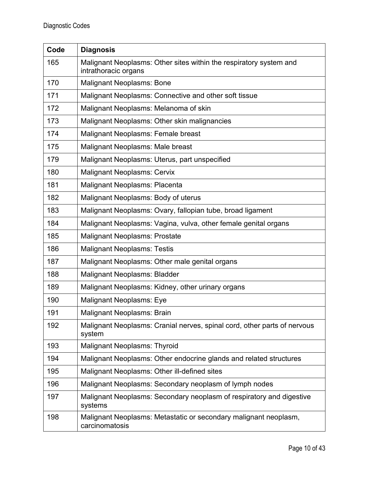| Code | <b>Diagnosis</b>                                                                           |
|------|--------------------------------------------------------------------------------------------|
| 165  | Malignant Neoplasms: Other sites within the respiratory system and<br>intrathoracic organs |
| 170  | <b>Malignant Neoplasms: Bone</b>                                                           |
| 171  | Malignant Neoplasms: Connective and other soft tissue                                      |
| 172  | Malignant Neoplasms: Melanoma of skin                                                      |
| 173  | Malignant Neoplasms: Other skin malignancies                                               |
| 174  | Malignant Neoplasms: Female breast                                                         |
| 175  | Malignant Neoplasms: Male breast                                                           |
| 179  | Malignant Neoplasms: Uterus, part unspecified                                              |
| 180  | <b>Malignant Neoplasms: Cervix</b>                                                         |
| 181  | <b>Malignant Neoplasms: Placenta</b>                                                       |
| 182  | Malignant Neoplasms: Body of uterus                                                        |
| 183  | Malignant Neoplasms: Ovary, fallopian tube, broad ligament                                 |
| 184  | Malignant Neoplasms: Vagina, vulva, other female genital organs                            |
| 185  | <b>Malignant Neoplasms: Prostate</b>                                                       |
| 186  | <b>Malignant Neoplasms: Testis</b>                                                         |
| 187  | Malignant Neoplasms: Other male genital organs                                             |
| 188  | <b>Malignant Neoplasms: Bladder</b>                                                        |
| 189  | Malignant Neoplasms: Kidney, other urinary organs                                          |
| 190  | <b>Malignant Neoplasms: Eye</b>                                                            |
| 191  | Malignant Neoplasms: Brain                                                                 |
| 192  | Malignant Neoplasms: Cranial nerves, spinal cord, other parts of nervous<br>system         |
| 193  | <b>Malignant Neoplasms: Thyroid</b>                                                        |
| 194  | Malignant Neoplasms: Other endocrine glands and related structures                         |
| 195  | Malignant Neoplasms: Other ill-defined sites                                               |
| 196  | Malignant Neoplasms: Secondary neoplasm of lymph nodes                                     |
| 197  | Malignant Neoplasms: Secondary neoplasm of respiratory and digestive<br>systems            |
| 198  | Malignant Neoplasms: Metastatic or secondary malignant neoplasm,<br>carcinomatosis         |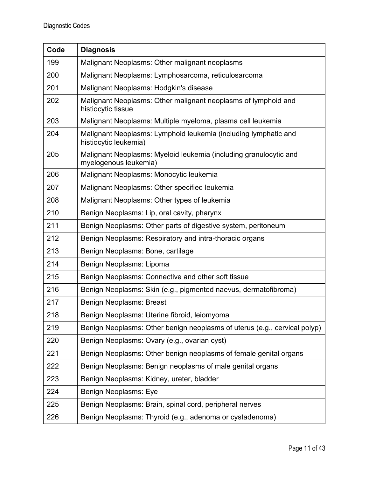| Code | <b>Diagnosis</b>                                                                           |
|------|--------------------------------------------------------------------------------------------|
| 199  | Malignant Neoplasms: Other malignant neoplasms                                             |
| 200  | Malignant Neoplasms: Lymphosarcoma, reticulosarcoma                                        |
| 201  | Malignant Neoplasms: Hodgkin's disease                                                     |
| 202  | Malignant Neoplasms: Other malignant neoplasms of lymphoid and<br>histiocytic tissue       |
| 203  | Malignant Neoplasms: Multiple myeloma, plasma cell leukemia                                |
| 204  | Malignant Neoplasms: Lymphoid leukemia (including lymphatic and<br>histiocytic leukemia)   |
| 205  | Malignant Neoplasms: Myeloid leukemia (including granulocytic and<br>myelogenous leukemia) |
| 206  | Malignant Neoplasms: Monocytic leukemia                                                    |
| 207  | Malignant Neoplasms: Other specified leukemia                                              |
| 208  | Malignant Neoplasms: Other types of leukemia                                               |
| 210  | Benign Neoplasms: Lip, oral cavity, pharynx                                                |
| 211  | Benign Neoplasms: Other parts of digestive system, peritoneum                              |
| 212  | Benign Neoplasms: Respiratory and intra-thoracic organs                                    |
| 213  | Benign Neoplasms: Bone, cartilage                                                          |
| 214  | Benign Neoplasms: Lipoma                                                                   |
| 215  | Benign Neoplasms: Connective and other soft tissue                                         |
| 216  | Benign Neoplasms: Skin (e.g., pigmented naevus, dermatofibroma)                            |
| 217  | <b>Benign Neoplasms: Breast</b>                                                            |
| 218  | Benign Neoplasms: Uterine fibroid, leiomyoma                                               |
| 219  | Benign Neoplasms: Other benign neoplasms of uterus (e.g., cervical polyp)                  |
| 220  | Benign Neoplasms: Ovary (e.g., ovarian cyst)                                               |
| 221  | Benign Neoplasms: Other benign neoplasms of female genital organs                          |
| 222  | Benign Neoplasms: Benign neoplasms of male genital organs                                  |
| 223  | Benign Neoplasms: Kidney, ureter, bladder                                                  |
| 224  | Benign Neoplasms: Eye                                                                      |
| 225  | Benign Neoplasms: Brain, spinal cord, peripheral nerves                                    |
| 226  | Benign Neoplasms: Thyroid (e.g., adenoma or cystadenoma)                                   |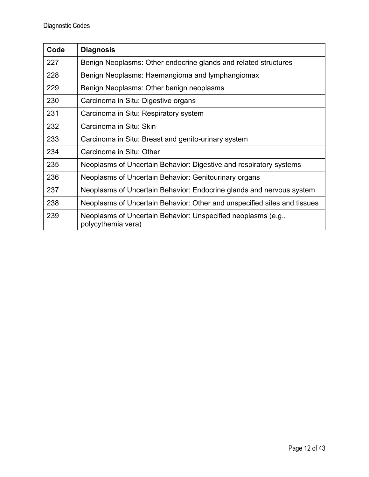| Code | <b>Diagnosis</b>                                                                    |
|------|-------------------------------------------------------------------------------------|
| 227  | Benign Neoplasms: Other endocrine glands and related structures                     |
| 228  | Benign Neoplasms: Haemangioma and lymphangiomax                                     |
| 229  | Benign Neoplasms: Other benign neoplasms                                            |
| 230  | Carcinoma in Situ: Digestive organs                                                 |
| 231  | Carcinoma in Situ: Respiratory system                                               |
| 232  | Carcinoma in Situ: Skin                                                             |
| 233  | Carcinoma in Situ: Breast and genito-urinary system                                 |
| 234  | Carcinoma in Situ: Other                                                            |
| 235  | Neoplasms of Uncertain Behavior: Digestive and respiratory systems                  |
| 236  | Neoplasms of Uncertain Behavior: Genitourinary organs                               |
| 237  | Neoplasms of Uncertain Behavior: Endocrine glands and nervous system                |
| 238  | Neoplasms of Uncertain Behavior: Other and unspecified sites and tissues            |
| 239  | Neoplasms of Uncertain Behavior: Unspecified neoplasms (e.g.,<br>polycythemia vera) |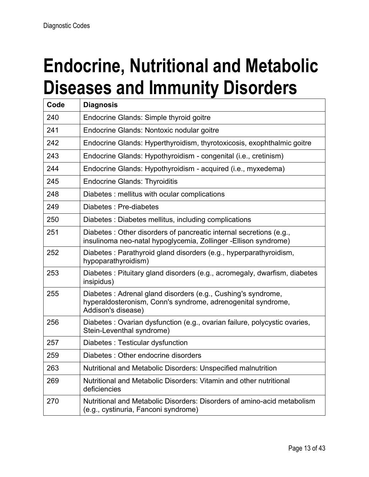### **Endocrine, Nutritional and Metabolic Diseases and Immunity Disorders**

| Code | <b>Diagnosis</b>                                                                                                                                   |
|------|----------------------------------------------------------------------------------------------------------------------------------------------------|
| 240  | Endocrine Glands: Simple thyroid goitre                                                                                                            |
| 241  | Endocrine Glands: Nontoxic nodular goitre                                                                                                          |
| 242  | Endocrine Glands: Hyperthyroidism, thyrotoxicosis, exophthalmic goitre                                                                             |
| 243  | Endocrine Glands: Hypothyroidism - congenital (i.e., cretinism)                                                                                    |
| 244  | Endocrine Glands: Hypothyroidism - acquired (i.e., myxedema)                                                                                       |
| 245  | <b>Endocrine Glands: Thyroiditis</b>                                                                                                               |
| 248  | Diabetes: mellitus with ocular complications                                                                                                       |
| 249  | Diabetes : Pre-diabetes                                                                                                                            |
| 250  | Diabetes: Diabetes mellitus, including complications                                                                                               |
| 251  | Diabetes: Other disorders of pancreatic internal secretions (e.g.,<br>insulinoma neo-natal hypoglycemia, Zollinger - Ellison syndrome)             |
| 252  | Diabetes: Parathyroid gland disorders (e.g., hyperparathyroidism,<br>hypoparathyroidism)                                                           |
| 253  | Diabetes: Pituitary gland disorders (e.g., acromegaly, dwarfism, diabetes<br>insipidus)                                                            |
| 255  | Diabetes: Adrenal gland disorders (e.g., Cushing's syndrome,<br>hyperaldosteronism, Conn's syndrome, adrenogenital syndrome,<br>Addison's disease) |
| 256  | Diabetes : Ovarian dysfunction (e.g., ovarian failure, polycystic ovaries,<br>Stein-Leventhal syndrome)                                            |
| 257  | Diabetes: Testicular dysfunction                                                                                                                   |
| 259  | Diabetes: Other endocrine disorders                                                                                                                |
| 263  | Nutritional and Metabolic Disorders: Unspecified malnutrition                                                                                      |
| 269  | Nutritional and Metabolic Disorders: Vitamin and other nutritional<br>deficiencies                                                                 |
| 270  | Nutritional and Metabolic Disorders: Disorders of amino-acid metabolism<br>(e.g., cystinuria, Fanconi syndrome)                                    |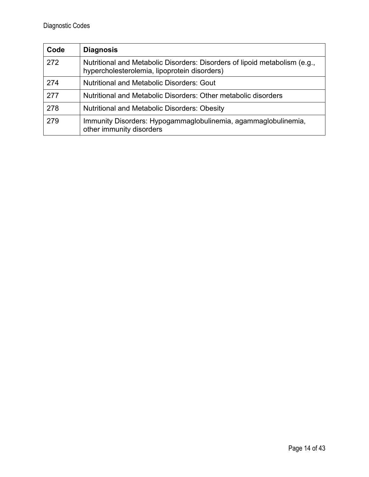| Code | <b>Diagnosis</b>                                                                                                           |
|------|----------------------------------------------------------------------------------------------------------------------------|
| 272  | Nutritional and Metabolic Disorders: Disorders of lipoid metabolism (e.g.,<br>hypercholesterolemia, lipoprotein disorders) |
| 274  | <b>Nutritional and Metabolic Disorders: Gout</b>                                                                           |
| 277  | Nutritional and Metabolic Disorders: Other metabolic disorders                                                             |
| 278  | <b>Nutritional and Metabolic Disorders: Obesity</b>                                                                        |
| 279  | Immunity Disorders: Hypogammaglobulinemia, agammaglobulinemia,<br>other immunity disorders                                 |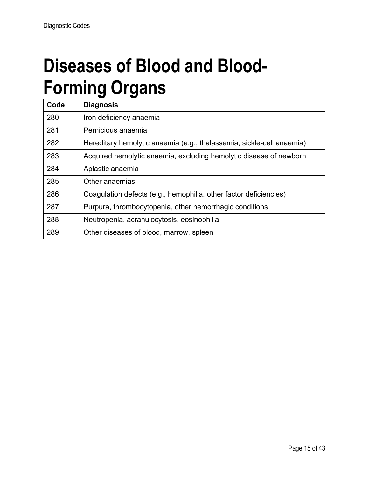#### **Diseases of Blood and Blood-Forming Organs**

| Code | <b>Diagnosis</b>                                                      |
|------|-----------------------------------------------------------------------|
| 280  | Iron deficiency anaemia                                               |
| 281  | Pernicious anaemia                                                    |
| 282  | Hereditary hemolytic anaemia (e.g., thalassemia, sickle-cell anaemia) |
| 283  | Acquired hemolytic anaemia, excluding hemolytic disease of newborn    |
| 284  | Aplastic anaemia                                                      |
| 285  | Other anaemias                                                        |
| 286  | Coagulation defects (e.g., hemophilia, other factor deficiencies)     |
| 287  | Purpura, thrombocytopenia, other hemorrhagic conditions               |
| 288  | Neutropenia, acranulocytosis, eosinophilia                            |
| 289  | Other diseases of blood, marrow, spleen                               |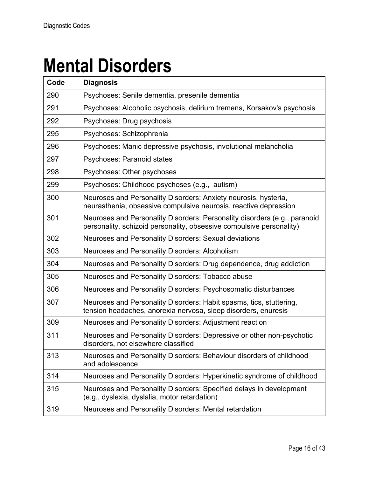#### **Mental Disorders**

| Code | <b>Diagnosis</b>                                                                                                                                  |
|------|---------------------------------------------------------------------------------------------------------------------------------------------------|
| 290  | Psychoses: Senile dementia, presenile dementia                                                                                                    |
| 291  | Psychoses: Alcoholic psychosis, delirium tremens, Korsakov's psychosis                                                                            |
| 292  | Psychoses: Drug psychosis                                                                                                                         |
| 295  | Psychoses: Schizophrenia                                                                                                                          |
| 296  | Psychoses: Manic depressive psychosis, involutional melancholia                                                                                   |
| 297  | <b>Psychoses: Paranoid states</b>                                                                                                                 |
| 298  | Psychoses: Other psychoses                                                                                                                        |
| 299  | Psychoses: Childhood psychoses (e.g., autism)                                                                                                     |
| 300  | Neuroses and Personality Disorders: Anxiety neurosis, hysteria,<br>neurasthenia, obsessive compulsive neurosis, reactive depression               |
| 301  | Neuroses and Personality Disorders: Personality disorders (e.g., paranoid<br>personality, schizoid personality, obsessive compulsive personality) |
| 302  | Neuroses and Personality Disorders: Sexual deviations                                                                                             |
| 303  | <b>Neuroses and Personality Disorders: Alcoholism</b>                                                                                             |
| 304  | Neuroses and Personality Disorders: Drug dependence, drug addiction                                                                               |
| 305  | Neuroses and Personality Disorders: Tobacco abuse                                                                                                 |
| 306  | Neuroses and Personality Disorders: Psychosomatic disturbances                                                                                    |
| 307  | Neuroses and Personality Disorders: Habit spasms, tics, stuttering,<br>tension headaches, anorexia nervosa, sleep disorders, enuresis             |
| 309  | Neuroses and Personality Disorders: Adjustment reaction                                                                                           |
| 311  | Neuroses and Personality Disorders: Depressive or other non-psychotic<br>disorders, not elsewhere classified                                      |
| 313  | Neuroses and Personality Disorders: Behaviour disorders of childhood<br>and adolescence                                                           |
| 314  | Neuroses and Personality Disorders: Hyperkinetic syndrome of childhood                                                                            |
| 315  | Neuroses and Personality Disorders: Specified delays in development<br>(e.g., dyslexia, dyslalia, motor retardation)                              |
| 319  | Neuroses and Personality Disorders: Mental retardation                                                                                            |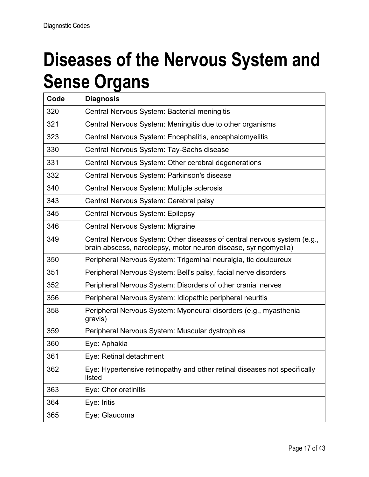#### **Diseases of the Nervous System and Sense Organs**

| Code | <b>Diagnosis</b>                                                                                                                           |
|------|--------------------------------------------------------------------------------------------------------------------------------------------|
| 320  | Central Nervous System: Bacterial meningitis                                                                                               |
| 321  | Central Nervous System: Meningitis due to other organisms                                                                                  |
| 323  | Central Nervous System: Encephalitis, encephalomyelitis                                                                                    |
| 330  | Central Nervous System: Tay-Sachs disease                                                                                                  |
| 331  | Central Nervous System: Other cerebral degenerations                                                                                       |
| 332  | Central Nervous System: Parkinson's disease                                                                                                |
| 340  | Central Nervous System: Multiple sclerosis                                                                                                 |
| 343  | Central Nervous System: Cerebral palsy                                                                                                     |
| 345  | <b>Central Nervous System: Epilepsy</b>                                                                                                    |
| 346  | Central Nervous System: Migraine                                                                                                           |
| 349  | Central Nervous System: Other diseases of central nervous system (e.g.,<br>brain abscess, narcolepsy, motor neuron disease, syringomyelia) |
| 350  | Peripheral Nervous System: Trigeminal neuralgia, tic douloureux                                                                            |
| 351  | Peripheral Nervous System: Bell's palsy, facial nerve disorders                                                                            |
| 352  | Peripheral Nervous System: Disorders of other cranial nerves                                                                               |
| 356  | Peripheral Nervous System: Idiopathic peripheral neuritis                                                                                  |
| 358  | Peripheral Nervous System: Myoneural disorders (e.g., myasthenia<br>gravis)                                                                |
| 359  | Peripheral Nervous System: Muscular dystrophies                                                                                            |
| 360  | Eye: Aphakia                                                                                                                               |
| 361  | Eye: Retinal detachment                                                                                                                    |
| 362  | Eye: Hypertensive retinopathy and other retinal diseases not specifically<br>listed                                                        |
| 363  | Eye: Chorioretinitis                                                                                                                       |
| 364  | Eye: Iritis                                                                                                                                |
| 365  | Eye: Glaucoma                                                                                                                              |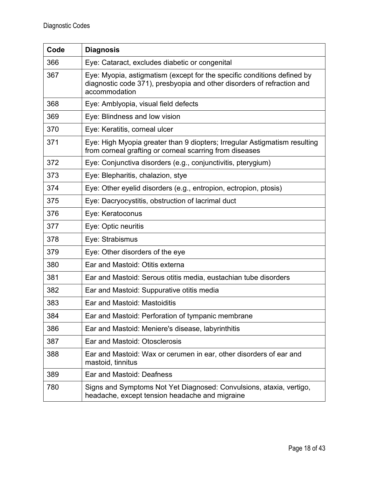| Code | <b>Diagnosis</b>                                                                                                                                                   |
|------|--------------------------------------------------------------------------------------------------------------------------------------------------------------------|
| 366  | Eye: Cataract, excludes diabetic or congenital                                                                                                                     |
| 367  | Eye: Myopia, astigmatism (except for the specific conditions defined by<br>diagnostic code 371), presbyopia and other disorders of refraction and<br>accommodation |
| 368  | Eye: Amblyopia, visual field defects                                                                                                                               |
| 369  | Eye: Blindness and low vision                                                                                                                                      |
| 370  | Eye: Keratitis, corneal ulcer                                                                                                                                      |
| 371  | Eye: High Myopia greater than 9 diopters; Irregular Astigmatism resulting<br>from corneal grafting or corneal scarring from diseases                               |
| 372  | Eye: Conjunctiva disorders (e.g., conjunctivitis, pterygium)                                                                                                       |
| 373  | Eye: Blepharitis, chalazion, stye                                                                                                                                  |
| 374  | Eye: Other eyelid disorders (e.g., entropion, ectropion, ptosis)                                                                                                   |
| 375  | Eye: Dacryocystitis, obstruction of lacrimal duct                                                                                                                  |
| 376  | Eye: Keratoconus                                                                                                                                                   |
| 377  | Eye: Optic neuritis                                                                                                                                                |
| 378  | Eye: Strabismus                                                                                                                                                    |
| 379  | Eye: Other disorders of the eye                                                                                                                                    |
| 380  | Ear and Mastoid: Otitis externa                                                                                                                                    |
| 381  | Ear and Mastoid: Serous otitis media, eustachian tube disorders                                                                                                    |
| 382  | Ear and Mastoid: Suppurative otitis media                                                                                                                          |
| 383  | Ear and Mastoid: Mastoiditis                                                                                                                                       |
| 384  | Ear and Mastoid: Perforation of tympanic membrane                                                                                                                  |
| 386  | Ear and Mastoid: Meniere's disease, labyrinthitis                                                                                                                  |
| 387  | Ear and Mastoid: Otosclerosis                                                                                                                                      |
| 388  | Ear and Mastoid: Wax or cerumen in ear, other disorders of ear and<br>mastoid, tinnitus                                                                            |
| 389  | Ear and Mastoid: Deafness                                                                                                                                          |
| 780  | Signs and Symptoms Not Yet Diagnosed: Convulsions, ataxia, vertigo,<br>headache, except tension headache and migraine                                              |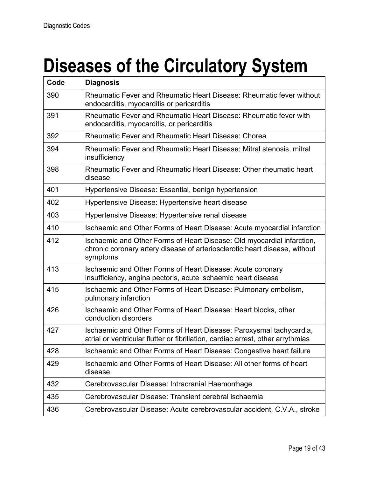# **Diseases of the Circulatory System**

| Code | <b>Diagnosis</b>                                                                                                                                                 |
|------|------------------------------------------------------------------------------------------------------------------------------------------------------------------|
| 390  | Rheumatic Fever and Rheumatic Heart Disease: Rheumatic fever without<br>endocarditis, myocarditis or pericarditis                                                |
| 391  | Rheumatic Fever and Rheumatic Heart Disease: Rheumatic fever with<br>endocarditis, myocarditis, or pericarditis                                                  |
| 392  | <b>Rheumatic Fever and Rheumatic Heart Disease: Chorea</b>                                                                                                       |
| 394  | Rheumatic Fever and Rheumatic Heart Disease: Mitral stenosis, mitral<br>insufficiency                                                                            |
| 398  | Rheumatic Fever and Rheumatic Heart Disease: Other rheumatic heart<br>disease                                                                                    |
| 401  | Hypertensive Disease: Essential, benign hypertension                                                                                                             |
| 402  | Hypertensive Disease: Hypertensive heart disease                                                                                                                 |
| 403  | Hypertensive Disease: Hypertensive renal disease                                                                                                                 |
| 410  | Ischaemic and Other Forms of Heart Disease: Acute myocardial infarction                                                                                          |
| 412  | Ischaemic and Other Forms of Heart Disease: Old myocardial infarction,<br>chronic coronary artery disease of arteriosclerotic heart disease, without<br>symptoms |
| 413  | Ischaemic and Other Forms of Heart Disease: Acute coronary<br>insufficiency, angina pectoris, acute ischaemic heart disease                                      |
| 415  | Ischaemic and Other Forms of Heart Disease: Pulmonary embolism,<br>pulmonary infarction                                                                          |
| 426  | Ischaemic and Other Forms of Heart Disease: Heart blocks, other<br>conduction disorders                                                                          |
| 427  | Ischaemic and Other Forms of Heart Disease: Paroxysmal tachycardia,<br>atrial or ventricular flutter or fibrillation, cardiac arrest, other arrythmias           |
| 428  | Ischaemic and Other Forms of Heart Disease: Congestive heart failure                                                                                             |
| 429  | Ischaemic and Other Forms of Heart Disease: All other forms of heart<br>disease                                                                                  |
| 432  | Cerebrovascular Disease: Intracranial Haemorrhage                                                                                                                |
| 435  | Cerebrovascular Disease: Transient cerebral ischaemia                                                                                                            |
| 436  | Cerebrovascular Disease: Acute cerebrovascular accident, C.V.A., stroke                                                                                          |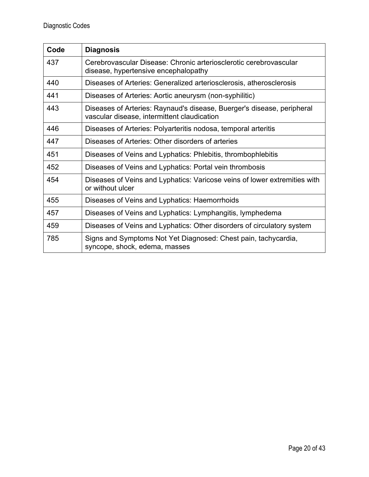| Code | <b>Diagnosis</b>                                                                                                      |
|------|-----------------------------------------------------------------------------------------------------------------------|
| 437  | Cerebrovascular Disease: Chronic arteriosclerotic cerebrovascular<br>disease, hypertensive encephalopathy             |
| 440  | Diseases of Arteries: Generalized arteriosclerosis, atherosclerosis                                                   |
| 441  | Diseases of Arteries: Aortic aneurysm (non-syphilitic)                                                                |
| 443  | Diseases of Arteries: Raynaud's disease, Buerger's disease, peripheral<br>vascular disease, intermittent claudication |
| 446  | Diseases of Arteries: Polyarteritis nodosa, temporal arteritis                                                        |
| 447  | Diseases of Arteries: Other disorders of arteries                                                                     |
| 451  | Diseases of Veins and Lyphatics: Phlebitis, thrombophlebitis                                                          |
| 452  | Diseases of Veins and Lyphatics: Portal vein thrombosis                                                               |
| 454  | Diseases of Veins and Lyphatics: Varicose veins of lower extremities with<br>or without ulcer                         |
| 455  | Diseases of Veins and Lyphatics: Haemorrhoids                                                                         |
| 457  | Diseases of Veins and Lyphatics: Lymphangitis, lymphedema                                                             |
| 459  | Diseases of Veins and Lyphatics: Other disorders of circulatory system                                                |
| 785  | Signs and Symptoms Not Yet Diagnosed: Chest pain, tachycardia,<br>syncope, shock, edema, masses                       |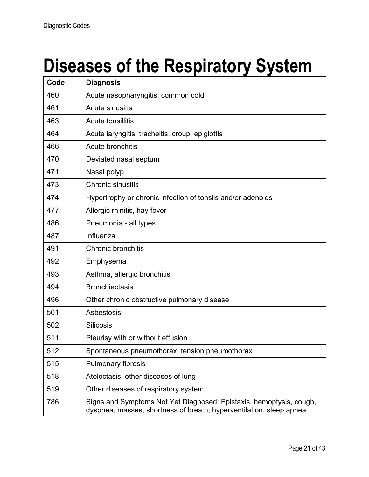### **Diseases of the Respiratory System**

| Code | <b>Diagnosis</b>                                                                                                                           |
|------|--------------------------------------------------------------------------------------------------------------------------------------------|
| 460  | Acute nasopharyngitis, common cold                                                                                                         |
| 461  | Acute sinusitis                                                                                                                            |
| 463  | Acute tonsillitis                                                                                                                          |
| 464  | Acute laryngitis, tracheitis, croup, epiglottis                                                                                            |
| 466  | Acute bronchitis                                                                                                                           |
| 470  | Deviated nasal septum                                                                                                                      |
| 471  | Nasal polyp                                                                                                                                |
| 473  | <b>Chronic sinusitis</b>                                                                                                                   |
| 474  | Hypertrophy or chronic infection of tonsils and/or adenoids                                                                                |
| 477  | Allergic rhinitis, hay fever                                                                                                               |
| 486  | Pneumonia - all types                                                                                                                      |
| 487  | Influenza                                                                                                                                  |
| 491  | Chronic bronchitis                                                                                                                         |
| 492  | Emphysema                                                                                                                                  |
| 493  | Asthma, allergic bronchitis                                                                                                                |
| 494  | <b>Bronchiectasis</b>                                                                                                                      |
| 496  | Other chronic obstructive pulmonary disease                                                                                                |
| 501  | Asbestosis                                                                                                                                 |
| 502  | <b>Silicosis</b>                                                                                                                           |
| 511  | Pleurisy with or without effusion                                                                                                          |
| 512  | Spontaneous pneumothorax, tension pneumothorax                                                                                             |
| 515  | <b>Pulmonary fibrosis</b>                                                                                                                  |
| 518  | Atelectasis, other diseases of lung                                                                                                        |
| 519  | Other diseases of respiratory system                                                                                                       |
| 786  | Signs and Symptoms Not Yet Diagnosed: Epistaxis, hemoptysis, cough,<br>dyspnea, masses, shortness of breath, hyperventilation, sleep apnea |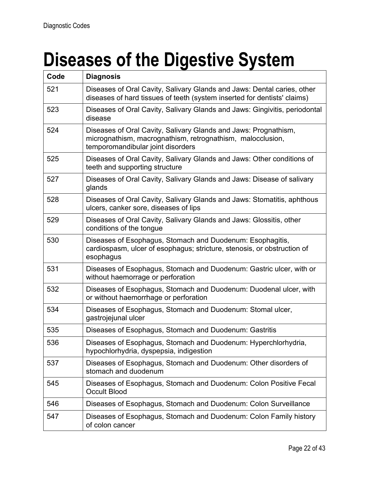# **Diseases of the Digestive System**

| Code | <b>Diagnosis</b>                                                                                                                                                   |
|------|--------------------------------------------------------------------------------------------------------------------------------------------------------------------|
| 521  | Diseases of Oral Cavity, Salivary Glands and Jaws: Dental caries, other<br>diseases of hard tissues of teeth (system inserted for dentists' claims)                |
| 523  | Diseases of Oral Cavity, Salivary Glands and Jaws: Gingivitis, periodontal<br>disease                                                                              |
| 524  | Diseases of Oral Cavity, Salivary Glands and Jaws: Prognathism,<br>micrognathism, macrognathism, retrognathism, malocclusion,<br>temporomandibular joint disorders |
| 525  | Diseases of Oral Cavity, Salivary Glands and Jaws: Other conditions of<br>teeth and supporting structure                                                           |
| 527  | Diseases of Oral Cavity, Salivary Glands and Jaws: Disease of salivary<br>glands                                                                                   |
| 528  | Diseases of Oral Cavity, Salivary Glands and Jaws: Stomatitis, aphthous<br>ulcers, canker sore, diseases of lips                                                   |
| 529  | Diseases of Oral Cavity, Salivary Glands and Jaws: Glossitis, other<br>conditions of the tongue                                                                    |
| 530  | Diseases of Esophagus, Stomach and Duodenum: Esophagitis,<br>cardiospasm, ulcer of esophagus; stricture, stenosis, or obstruction of<br>esophagus                  |
| 531  | Diseases of Esophagus, Stomach and Duodenum: Gastric ulcer, with or<br>without haemorrage or perforation                                                           |
| 532  | Diseases of Esophagus, Stomach and Duodenum: Duodenal ulcer, with<br>or without haemorrhage or perforation                                                         |
| 534  | Diseases of Esophagus, Stomach and Duodenum: Stomal ulcer,<br>gastrojejunal ulcer                                                                                  |
| 535  | Diseases of Esophagus, Stomach and Duodenum: Gastritis                                                                                                             |
| 536  | Diseases of Esophagus, Stomach and Duodenum: Hyperchlorhydria,<br>hypochlorhydria, dyspepsia, indigestion                                                          |
| 537  | Diseases of Esophagus, Stomach and Duodenum: Other disorders of<br>stomach and duodenum                                                                            |
| 545  | Diseases of Esophagus, Stomach and Duodenum: Colon Positive Fecal<br><b>Occult Blood</b>                                                                           |
| 546  | Diseases of Esophagus, Stomach and Duodenum: Colon Surveillance                                                                                                    |
| 547  | Diseases of Esophagus, Stomach and Duodenum: Colon Family history<br>of colon cancer                                                                               |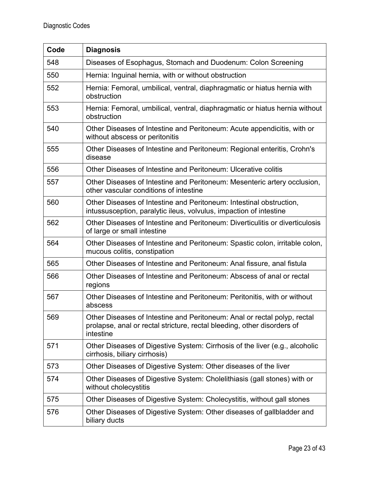| Code | <b>Diagnosis</b>                                                                                                                                                 |
|------|------------------------------------------------------------------------------------------------------------------------------------------------------------------|
| 548  | Diseases of Esophagus, Stomach and Duodenum: Colon Screening                                                                                                     |
| 550  | Hernia: Inguinal hernia, with or without obstruction                                                                                                             |
| 552  | Hernia: Femoral, umbilical, ventral, diaphragmatic or hiatus hernia with<br>obstruction                                                                          |
| 553  | Hernia: Femoral, umbilical, ventral, diaphragmatic or hiatus hernia without<br>obstruction                                                                       |
| 540  | Other Diseases of Intestine and Peritoneum: Acute appendicitis, with or<br>without abscess or peritonitis                                                        |
| 555  | Other Diseases of Intestine and Peritoneum: Regional enteritis, Crohn's<br>disease                                                                               |
| 556  | Other Diseases of Intestine and Peritoneum: Ulcerative colitis                                                                                                   |
| 557  | Other Diseases of Intestine and Peritoneum: Mesenteric artery occlusion,<br>other vascular conditions of intestine                                               |
| 560  | Other Diseases of Intestine and Peritoneum: Intestinal obstruction,<br>intussusception, paralytic ileus, volvulus, impaction of intestine                        |
| 562  | Other Diseases of Intestine and Peritoneum: Diverticulitis or diverticulosis<br>of large or small intestine                                                      |
| 564  | Other Diseases of Intestine and Peritoneum: Spastic colon, irritable colon,<br>mucous colitis, constipation                                                      |
| 565  | Other Diseases of Intestine and Peritoneum: Anal fissure, anal fistula                                                                                           |
| 566  | Other Diseases of Intestine and Peritoneum: Abscess of anal or rectal<br>regions                                                                                 |
| 567  | Other Diseases of Intestine and Peritoneum: Peritonitis, with or without<br>abscess                                                                              |
| 569  | Other Diseases of Intestine and Peritoneum: Anal or rectal polyp, rectal<br>prolapse, anal or rectal stricture, rectal bleeding, other disorders of<br>intestine |
| 571  | Other Diseases of Digestive System: Cirrhosis of the liver (e.g., alcoholic<br>cirrhosis, biliary cirrhosis)                                                     |
| 573  | Other Diseases of Digestive System: Other diseases of the liver                                                                                                  |
| 574  | Other Diseases of Digestive System: Cholelithiasis (gall stones) with or<br>without cholecystitis                                                                |
| 575  | Other Diseases of Digestive System: Cholecystitis, without gall stones                                                                                           |
| 576  | Other Diseases of Digestive System: Other diseases of gallbladder and<br>biliary ducts                                                                           |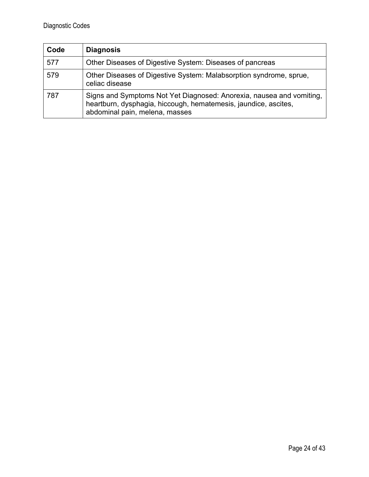| Code | <b>Diagnosis</b>                                                                                                                                                          |
|------|---------------------------------------------------------------------------------------------------------------------------------------------------------------------------|
| 577  | Other Diseases of Digestive System: Diseases of pancreas                                                                                                                  |
| 579  | Other Diseases of Digestive System: Malabsorption syndrome, sprue,<br>celiac disease                                                                                      |
| 787  | Signs and Symptoms Not Yet Diagnosed: Anorexia, nausea and vomiting,<br>heartburn, dysphagia, hiccough, hematemesis, jaundice, ascites,<br>abdominal pain, melena, masses |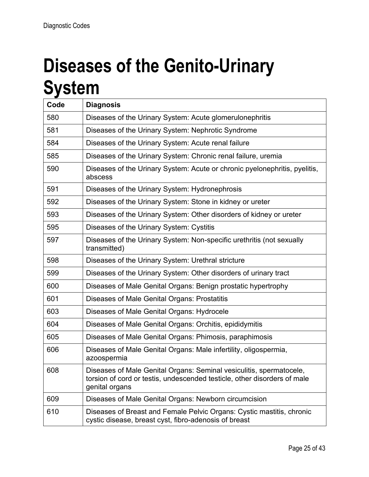#### **Diseases of the Genito-Urinary System**

| Code | <b>Diagnosis</b>                                                                                                                                                  |
|------|-------------------------------------------------------------------------------------------------------------------------------------------------------------------|
| 580  | Diseases of the Urinary System: Acute glomerulonephritis                                                                                                          |
| 581  | Diseases of the Urinary System: Nephrotic Syndrome                                                                                                                |
| 584  | Diseases of the Urinary System: Acute renal failure                                                                                                               |
| 585  | Diseases of the Urinary System: Chronic renal failure, uremia                                                                                                     |
| 590  | Diseases of the Urinary System: Acute or chronic pyelonephritis, pyelitis,<br>abscess                                                                             |
| 591  | Diseases of the Urinary System: Hydronephrosis                                                                                                                    |
| 592  | Diseases of the Urinary System: Stone in kidney or ureter                                                                                                         |
| 593  | Diseases of the Urinary System: Other disorders of kidney or ureter                                                                                               |
| 595  | Diseases of the Urinary System: Cystitis                                                                                                                          |
| 597  | Diseases of the Urinary System: Non-specific urethritis (not sexually<br>transmitted)                                                                             |
| 598  | Diseases of the Urinary System: Urethral stricture                                                                                                                |
| 599  | Diseases of the Urinary System: Other disorders of urinary tract                                                                                                  |
| 600  | Diseases of Male Genital Organs: Benign prostatic hypertrophy                                                                                                     |
| 601  | Diseases of Male Genital Organs: Prostatitis                                                                                                                      |
| 603  | Diseases of Male Genital Organs: Hydrocele                                                                                                                        |
| 604  | Diseases of Male Genital Organs: Orchitis, epididymitis                                                                                                           |
| 605  | Diseases of Male Genital Organs: Phimosis, paraphimosis                                                                                                           |
| 606  | Diseases of Male Genital Organs: Male infertility, oligospermia,<br>azoospermia                                                                                   |
| 608  | Diseases of Male Genital Organs: Seminal vesiculitis, spermatocele,<br>torsion of cord or testis, undescended testicle, other disorders of male<br>genital organs |
| 609  | Diseases of Male Genital Organs: Newborn circumcision                                                                                                             |
| 610  | Diseases of Breast and Female Pelvic Organs: Cystic mastitis, chronic<br>cystic disease, breast cyst, fibro-adenosis of breast                                    |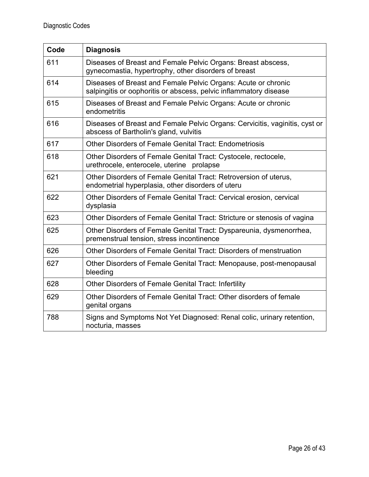| Code | <b>Diagnosis</b>                                                                                                                   |
|------|------------------------------------------------------------------------------------------------------------------------------------|
| 611  | Diseases of Breast and Female Pelvic Organs: Breast abscess,<br>gynecomastia, hypertrophy, other disorders of breast               |
| 614  | Diseases of Breast and Female Pelvic Organs: Acute or chronic<br>salpingitis or oophoritis or abscess, pelvic inflammatory disease |
| 615  | Diseases of Breast and Female Pelvic Organs: Acute or chronic<br>endometritis                                                      |
| 616  | Diseases of Breast and Female Pelvic Organs: Cervicitis, vaginitis, cyst or<br>abscess of Bartholin's gland, vulvitis              |
| 617  | Other Disorders of Female Genital Tract: Endometriosis                                                                             |
| 618  | Other Disorders of Female Genital Tract: Cystocele, rectocele,<br>urethrocele, enterocele, uterine prolapse                        |
| 621  | Other Disorders of Female Genital Tract: Retroversion of uterus,<br>endometrial hyperplasia, other disorders of uteru              |
| 622  | Other Disorders of Female Genital Tract: Cervical erosion, cervical<br>dysplasia                                                   |
| 623  | Other Disorders of Female Genital Tract: Stricture or stenosis of vagina                                                           |
| 625  | Other Disorders of Female Genital Tract: Dyspareunia, dysmenorrhea,<br>premenstrual tension, stress incontinence                   |
| 626  | Other Disorders of Female Genital Tract: Disorders of menstruation                                                                 |
| 627  | Other Disorders of Female Genital Tract: Menopause, post-menopausal<br>bleeding                                                    |
| 628  | Other Disorders of Female Genital Tract: Infertility                                                                               |
| 629  | Other Disorders of Female Genital Tract: Other disorders of female<br>genital organs                                               |
| 788  | Signs and Symptoms Not Yet Diagnosed: Renal colic, urinary retention,<br>nocturia, masses                                          |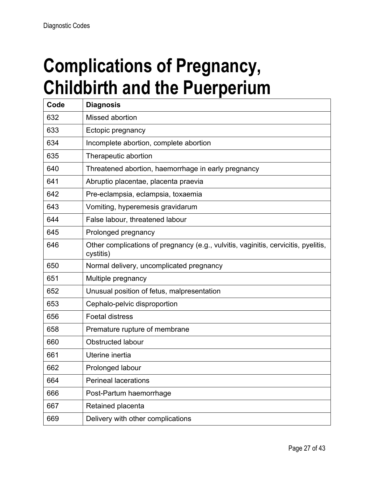#### **Complications of Pregnancy, Childbirth and the Puerperium**

| Code | <b>Diagnosis</b>                                                                                |
|------|-------------------------------------------------------------------------------------------------|
| 632  | Missed abortion                                                                                 |
| 633  | Ectopic pregnancy                                                                               |
| 634  | Incomplete abortion, complete abortion                                                          |
| 635  | Therapeutic abortion                                                                            |
| 640  | Threatened abortion, haemorrhage in early pregnancy                                             |
| 641  | Abruptio placentae, placenta praevia                                                            |
| 642  | Pre-eclampsia, eclampsia, toxaemia                                                              |
| 643  | Vomiting, hyperemesis gravidarum                                                                |
| 644  | False labour, threatened labour                                                                 |
| 645  | Prolonged pregnancy                                                                             |
| 646  | Other complications of pregnancy (e.g., vulvitis, vaginitis, cervicitis, pyelitis,<br>cystitis) |
| 650  | Normal delivery, uncomplicated pregnancy                                                        |
| 651  | Multiple pregnancy                                                                              |
| 652  | Unusual position of fetus, malpresentation                                                      |
| 653  | Cephalo-pelvic disproportion                                                                    |
| 656  | <b>Foetal distress</b>                                                                          |
| 658  | Premature rupture of membrane                                                                   |
| 660  | <b>Obstructed labour</b>                                                                        |
| 661  | Uterine inertia                                                                                 |
| 662  | Prolonged labour                                                                                |
| 664  | <b>Perineal lacerations</b>                                                                     |
| 666  | Post-Partum haemorrhage                                                                         |
| 667  | Retained placenta                                                                               |
| 669  | Delivery with other complications                                                               |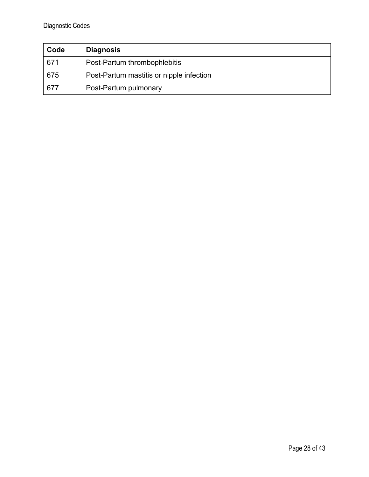| Code | <b>Diagnosis</b>                         |
|------|------------------------------------------|
| 671  | Post-Partum thrombophlebitis             |
| 675  | Post-Partum mastitis or nipple infection |
| 677  | Post-Partum pulmonary                    |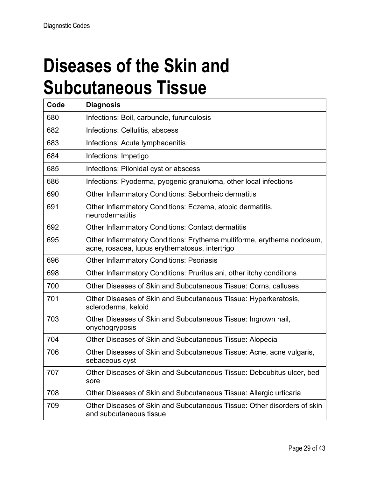#### **Diseases of the Skin and Subcutaneous Tissue**

| Code | <b>Diagnosis</b>                                                                                                        |
|------|-------------------------------------------------------------------------------------------------------------------------|
| 680  | Infections: Boil, carbuncle, furunculosis                                                                               |
| 682  | Infections: Cellulitis, abscess                                                                                         |
| 683  | Infections: Acute lymphadenitis                                                                                         |
| 684  | Infections: Impetigo                                                                                                    |
| 685  | Infections: Pilonidal cyst or abscess                                                                                   |
| 686  | Infections: Pyoderma, pyogenic granuloma, other local infections                                                        |
| 690  | <b>Other Inflammatory Conditions: Seborrheic dermatitis</b>                                                             |
| 691  | Other Inflammatory Conditions: Eczema, atopic dermatitis,<br>neurodermatitis                                            |
| 692  | <b>Other Inflammatory Conditions: Contact dermatitis</b>                                                                |
| 695  | Other Inflammatory Conditions: Erythema multiforme, erythema nodosum,<br>acne, rosacea, lupus erythematosus, intertrigo |
| 696  | <b>Other Inflammatory Conditions: Psoriasis</b>                                                                         |
| 698  | Other Inflammatory Conditions: Pruritus ani, other itchy conditions                                                     |
| 700  | Other Diseases of Skin and Subcutaneous Tissue: Corns, calluses                                                         |
| 701  | Other Diseases of Skin and Subcutaneous Tissue: Hyperkeratosis,<br>scleroderma, keloid                                  |
| 703  | Other Diseases of Skin and Subcutaneous Tissue: Ingrown nail,<br>onychogryposis                                         |
| 704  | Other Diseases of Skin and Subcutaneous Tissue: Alopecia                                                                |
| 706  | Other Diseases of Skin and Subcutaneous Tissue: Acne, acne vulgaris,<br>sebaceous cyst                                  |
| 707  | Other Diseases of Skin and Subcutaneous Tissue: Debcubitus ulcer, bed<br>sore                                           |
| 708  | Other Diseases of Skin and Subcutaneous Tissue: Allergic urticaria                                                      |
| 709  | Other Diseases of Skin and Subcutaneous Tissue: Other disorders of skin<br>and subcutaneous tissue                      |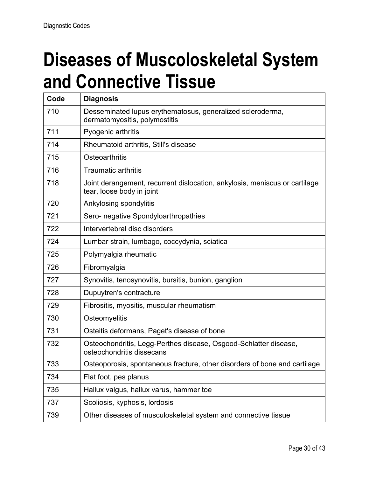#### **Diseases of Muscoloskeletal System and Connective Tissue**

| Code | <b>Diagnosis</b>                                                                                        |
|------|---------------------------------------------------------------------------------------------------------|
| 710  | Desseminated lupus erythematosus, generalized scleroderma,<br>dermatomyositis, polymostitis             |
| 711  | Pyogenic arthritis                                                                                      |
| 714  | Rheumatoid arthritis, Still's disease                                                                   |
| 715  | Osteoarthritis                                                                                          |
| 716  | <b>Traumatic arthritis</b>                                                                              |
| 718  | Joint derangement, recurrent dislocation, ankylosis, meniscus or cartilage<br>tear, loose body in joint |
| 720  | Ankylosing spondylitis                                                                                  |
| 721  | Sero- negative Spondyloarthropathies                                                                    |
| 722  | Intervertebral disc disorders                                                                           |
| 724  | Lumbar strain, lumbago, coccydynia, sciatica                                                            |
| 725  | Polymyalgia rheumatic                                                                                   |
| 726  | Fibromyalgia                                                                                            |
| 727  | Synovitis, tenosynovitis, bursitis, bunion, ganglion                                                    |
| 728  | Dupuytren's contracture                                                                                 |
| 729  | Fibrositis, myositis, muscular rheumatism                                                               |
| 730  | Osteomyelitis                                                                                           |
| 731  | Osteitis deformans, Paget's disease of bone                                                             |
| 732  | Osteochondritis, Legg-Perthes disease, Osgood-Schlatter disease,<br>osteochondritis dissecans           |
| 733  | Osteoporosis, spontaneous fracture, other disorders of bone and cartilage                               |
| 734  | Flat foot, pes planus                                                                                   |
| 735  | Hallux valgus, hallux varus, hammer toe                                                                 |
| 737  | Scoliosis, kyphosis, lordosis                                                                           |
| 739  | Other diseases of musculoskeletal system and connective tissue                                          |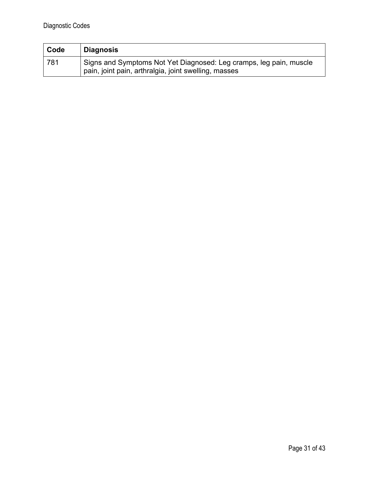| Code | ∣ Diagnosis                                                                                                                |
|------|----------------------------------------------------------------------------------------------------------------------------|
| 781  | Signs and Symptoms Not Yet Diagnosed: Leg cramps, leg pain, muscle<br>pain, joint pain, arthralgia, joint swelling, masses |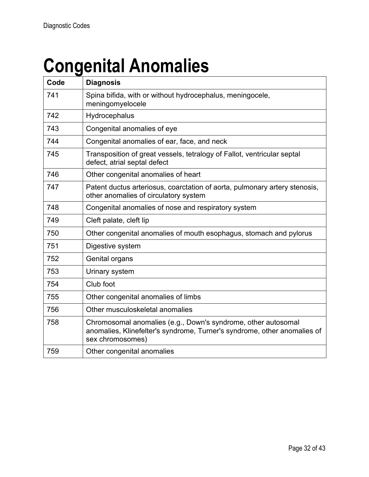# **Congenital Anomalies**

| Code | <b>Diagnosis</b>                                                                                                                                              |
|------|---------------------------------------------------------------------------------------------------------------------------------------------------------------|
| 741  | Spina bifida, with or without hydrocephalus, meningocele,<br>meningomyelocele                                                                                 |
| 742  | Hydrocephalus                                                                                                                                                 |
| 743  | Congenital anomalies of eye                                                                                                                                   |
| 744  | Congenital anomalies of ear, face, and neck                                                                                                                   |
| 745  | Transposition of great vessels, tetralogy of Fallot, ventricular septal<br>defect, atrial septal defect                                                       |
| 746  | Other congenital anomalies of heart                                                                                                                           |
| 747  | Patent ductus arteriosus, coarctation of aorta, pulmonary artery stenosis,<br>other anomalies of circulatory system                                           |
| 748  | Congenital anomalies of nose and respiratory system                                                                                                           |
| 749  | Cleft palate, cleft lip                                                                                                                                       |
| 750  | Other congenital anomalies of mouth esophagus, stomach and pylorus                                                                                            |
| 751  | Digestive system                                                                                                                                              |
| 752  | Genital organs                                                                                                                                                |
| 753  | Urinary system                                                                                                                                                |
| 754  | Club foot                                                                                                                                                     |
| 755  | Other congenital anomalies of limbs                                                                                                                           |
| 756  | Other musculoskeletal anomalies                                                                                                                               |
| 758  | Chromosomal anomalies (e.g., Down's syndrome, other autosomal<br>anomalies, Klinefelter's syndrome, Turner's syndrome, other anomalies of<br>sex chromosomes) |
| 759  | Other congenital anomalies                                                                                                                                    |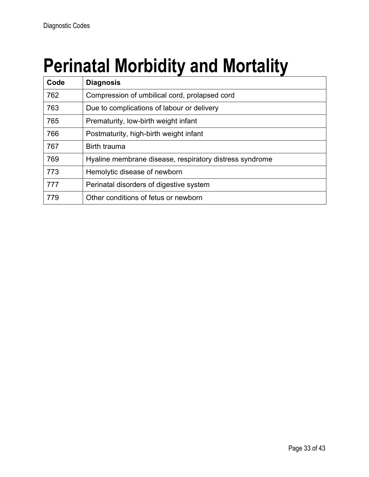# **Perinatal Morbidity and Mortality**

| Code | <b>Diagnosis</b>                                        |
|------|---------------------------------------------------------|
| 762  | Compression of umbilical cord, prolapsed cord           |
| 763  | Due to complications of labour or delivery              |
| 765  | Prematurity, low-birth weight infant                    |
| 766  | Postmaturity, high-birth weight infant                  |
| 767  | <b>Birth trauma</b>                                     |
| 769  | Hyaline membrane disease, respiratory distress syndrome |
| 773  | Hemolytic disease of newborn                            |
| 777  | Perinatal disorders of digestive system                 |
| 779  | Other conditions of fetus or newborn                    |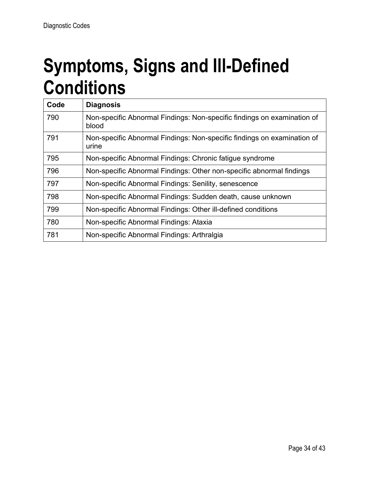#### **Symptoms, Signs and Ill-Defined Conditions**

| Code | <b>Diagnosis</b>                                                                 |
|------|----------------------------------------------------------------------------------|
| 790  | Non-specific Abnormal Findings: Non-specific findings on examination of<br>blood |
| 791  | Non-specific Abnormal Findings: Non-specific findings on examination of<br>urine |
| 795  | Non-specific Abnormal Findings: Chronic fatigue syndrome                         |
| 796  | Non-specific Abnormal Findings: Other non-specific abnormal findings             |
| 797  | Non-specific Abnormal Findings: Senility, senescence                             |
| 798  | Non-specific Abnormal Findings: Sudden death, cause unknown                      |
| 799  | Non-specific Abnormal Findings: Other ill-defined conditions                     |
| 780  | Non-specific Abnormal Findings: Ataxia                                           |
| 781  | Non-specific Abnormal Findings: Arthralgia                                       |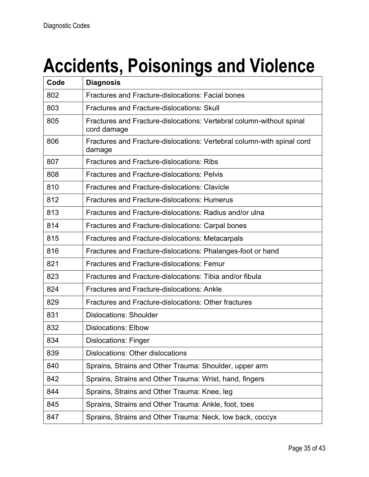# **Accidents, Poisonings and Violence**

| Code | <b>Diagnosis</b>                                                                    |
|------|-------------------------------------------------------------------------------------|
| 802  | <b>Fractures and Fracture-dislocations: Facial bones</b>                            |
| 803  | <b>Fractures and Fracture-dislocations: Skull</b>                                   |
| 805  | Fractures and Fracture-dislocations: Vertebral column-without spinal<br>cord damage |
| 806  | Fractures and Fracture-dislocations: Vertebral column-with spinal cord<br>damage    |
| 807  | <b>Fractures and Fracture-dislocations: Ribs</b>                                    |
| 808  | <b>Fractures and Fracture-dislocations: Pelvis</b>                                  |
| 810  | <b>Fractures and Fracture-dislocations: Clavicle</b>                                |
| 812  | <b>Fractures and Fracture-dislocations: Humerus</b>                                 |
| 813  | Fractures and Fracture-dislocations: Radius and/or ulna                             |
| 814  | Fractures and Fracture-dislocations: Carpal bones                                   |
| 815  | Fractures and Fracture-dislocations: Metacarpals                                    |
| 816  | Fractures and Fracture-dislocations: Phalanges-foot or hand                         |
| 821  | <b>Fractures and Fracture-dislocations: Femur</b>                                   |
| 823  | Fractures and Fracture-dislocations: Tibia and/or fibula                            |
| 824  | <b>Fractures and Fracture-dislocations: Ankle</b>                                   |
| 829  | Fractures and Fracture-dislocations: Other fractures                                |
| 831  | <b>Dislocations: Shoulder</b>                                                       |
| 832  | <b>Dislocations: Elbow</b>                                                          |
| 834  | <b>Dislocations: Finger</b>                                                         |
| 839  | Dislocations: Other dislocations                                                    |
| 840  | Sprains, Strains and Other Trauma: Shoulder, upper arm                              |
| 842  | Sprains, Strains and Other Trauma: Wrist, hand, fingers                             |
| 844  | Sprains, Strains and Other Trauma: Knee, leg                                        |
| 845  | Sprains, Strains and Other Trauma: Ankle, foot, toes                                |
| 847  | Sprains, Strains and Other Trauma: Neck, low back, coccyx                           |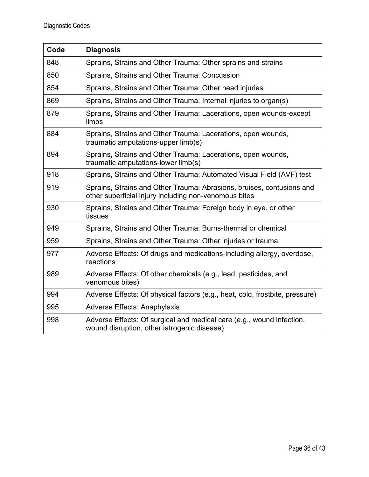| Code | <b>Diagnosis</b>                                                                                                               |
|------|--------------------------------------------------------------------------------------------------------------------------------|
| 848  | Sprains, Strains and Other Trauma: Other sprains and strains                                                                   |
| 850  | Sprains, Strains and Other Trauma: Concussion                                                                                  |
| 854  | Sprains, Strains and Other Trauma: Other head injuries                                                                         |
| 869  | Sprains, Strains and Other Trauma: Internal injuries to organ(s)                                                               |
| 879  | Sprains, Strains and Other Trauma: Lacerations, open wounds-except<br>limbs                                                    |
| 884  | Sprains, Strains and Other Trauma: Lacerations, open wounds,<br>traumatic amputations-upper limb(s)                            |
| 894  | Sprains, Strains and Other Trauma: Lacerations, open wounds,<br>traumatic amputations-lower limb(s)                            |
| 918  | Sprains, Strains and Other Trauma: Automated Visual Field (AVF) test                                                           |
| 919  | Sprains, Strains and Other Trauma: Abrasions, bruises, contusions and<br>other superficial injury including non-venomous bites |
| 930  | Sprains, Strains and Other Trauma: Foreign body in eye, or other<br>tissues                                                    |
| 949  | Sprains, Strains and Other Trauma: Burns-thermal or chemical                                                                   |
| 959  | Sprains, Strains and Other Trauma: Other injuries or trauma                                                                    |
| 977  | Adverse Effects: Of drugs and medications-including allergy, overdose,<br>reactions                                            |
| 989  | Adverse Effects: Of other chemicals (e.g., lead, pesticides, and<br>venomous bites)                                            |
| 994  | Adverse Effects: Of physical factors (e.g., heat, cold, frostbite, pressure)                                                   |
| 995  | <b>Adverse Effects: Anaphylaxis</b>                                                                                            |
| 998  | Adverse Effects: Of surgical and medical care (e.g., wound infection,<br>wound disruption, other iatrogenic disease)           |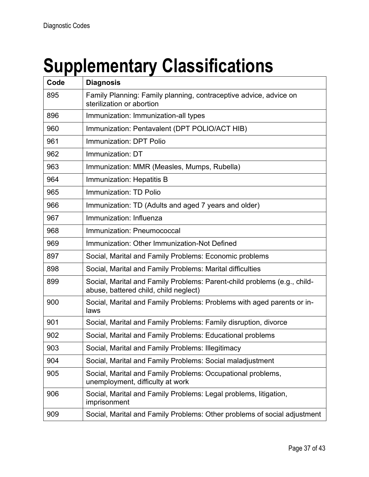# **Supplementary Classifications**

| Code | <b>Diagnosis</b>                                                                                                  |
|------|-------------------------------------------------------------------------------------------------------------------|
| 895  | Family Planning: Family planning, contraceptive advice, advice on<br>sterilization or abortion                    |
| 896  | Immunization: Immunization-all types                                                                              |
| 960  | Immunization: Pentavalent (DPT POLIO/ACT HIB)                                                                     |
| 961  | Immunization: DPT Polio                                                                                           |
| 962  | Immunization: DT                                                                                                  |
| 963  | Immunization: MMR (Measles, Mumps, Rubella)                                                                       |
| 964  | Immunization: Hepatitis B                                                                                         |
| 965  | Immunization: TD Polio                                                                                            |
| 966  | Immunization: TD (Adults and aged 7 years and older)                                                              |
| 967  | Immunization: Influenza                                                                                           |
| 968  | Immunization: Pneumococcal                                                                                        |
| 969  | Immunization: Other Immunization-Not Defined                                                                      |
| 897  | Social, Marital and Family Problems: Economic problems                                                            |
| 898  | Social, Marital and Family Problems: Marital difficulties                                                         |
| 899  | Social, Marital and Family Problems: Parent-child problems (e.g., child-<br>abuse, battered child, child neglect) |
| 900  | Social, Marital and Family Problems: Problems with aged parents or in-<br>laws                                    |
| 901  | Social, Marital and Family Problems: Family disruption, divorce                                                   |
| 902  | Social, Marital and Family Problems: Educational problems                                                         |
| 903  | Social, Marital and Family Problems: Illegitimacy                                                                 |
| 904  | Social, Marital and Family Problems: Social maladjustment                                                         |
| 905  | Social, Marital and Family Problems: Occupational problems,<br>unemployment, difficulty at work                   |
| 906  | Social, Marital and Family Problems: Legal problems, litigation,<br>imprisonment                                  |
| 909  | Social, Marital and Family Problems: Other problems of social adjustment                                          |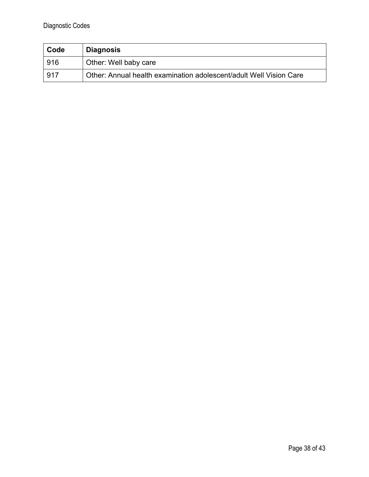| Code | <b>Diagnosis</b>                                                   |
|------|--------------------------------------------------------------------|
| 916  | Other: Well baby care                                              |
| .917 | Other: Annual health examination adolescent/adult Well Vision Care |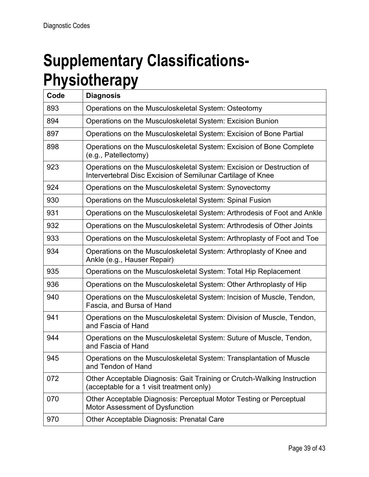#### **Supplementary Classifications-Physiotherapy**

| Code | <b>Diagnosis</b>                                                                                                                    |
|------|-------------------------------------------------------------------------------------------------------------------------------------|
| 893  | Operations on the Musculoskeletal System: Osteotomy                                                                                 |
| 894  | Operations on the Musculoskeletal System: Excision Bunion                                                                           |
| 897  | Operations on the Musculoskeletal System: Excision of Bone Partial                                                                  |
| 898  | Operations on the Musculoskeletal System: Excision of Bone Complete<br>(e.g., Patellectomy)                                         |
| 923  | Operations on the Musculoskeletal System: Excision or Destruction of<br>Intervertebral Disc Excision of Semilunar Cartilage of Knee |
| 924  | Operations on the Musculoskeletal System: Synovectomy                                                                               |
| 930  | Operations on the Musculoskeletal System: Spinal Fusion                                                                             |
| 931  | Operations on the Musculoskeletal System: Arthrodesis of Foot and Ankle                                                             |
| 932  | Operations on the Musculoskeletal System: Arthrodesis of Other Joints                                                               |
| 933  | Operations on the Musculoskeletal System: Arthroplasty of Foot and Toe                                                              |
| 934  | Operations on the Musculoskeletal System: Arthroplasty of Knee and<br>Ankle (e.g., Hauser Repair)                                   |
| 935  | Operations on the Musculoskeletal System: Total Hip Replacement                                                                     |
| 936  | Operations on the Musculoskeletal System: Other Arthroplasty of Hip                                                                 |
| 940  | Operations on the Musculoskeletal System: Incision of Muscle, Tendon,<br>Fascia, and Bursa of Hand                                  |
| 941  | Operations on the Musculoskeletal System: Division of Muscle, Tendon,<br>and Fascia of Hand                                         |
| 944  | Operations on the Musculoskeletal System: Suture of Muscle, Tendon,<br>and Fascia of Hand                                           |
| 945  | Operations on the Musculoskeletal System: Transplantation of Muscle<br>and Tendon of Hand                                           |
| 072  | Other Acceptable Diagnosis: Gait Training or Crutch-Walking Instruction<br>(acceptable for a 1 visit treatment only)                |
| 070  | Other Acceptable Diagnosis: Perceptual Motor Testing or Perceptual<br><b>Motor Assessment of Dysfunction</b>                        |
| 970  | Other Acceptable Diagnosis: Prenatal Care                                                                                           |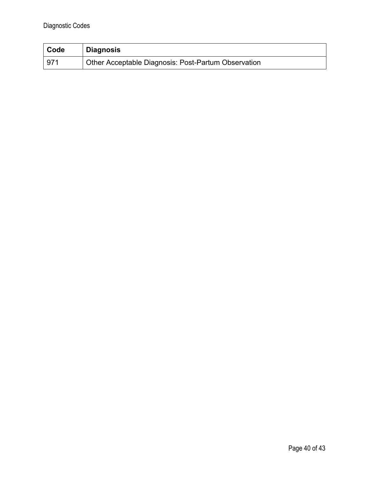| Code | Diagnosis                                           |
|------|-----------------------------------------------------|
| 971  | Other Acceptable Diagnosis: Post-Partum Observation |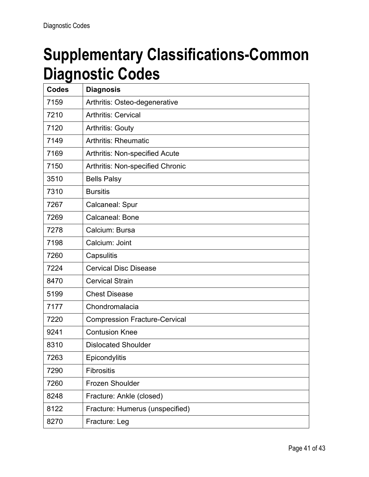#### **Supplementary Classifications-Common Diagnostic Codes**

| <b>Codes</b> | <b>Diagnosis</b>                      |
|--------------|---------------------------------------|
| 7159         | Arthritis: Osteo-degenerative         |
| 7210         | <b>Arthritis: Cervical</b>            |
| 7120         | <b>Arthritis: Gouty</b>               |
| 7149         | <b>Arthritis: Rheumatic</b>           |
| 7169         | <b>Arthritis: Non-specified Acute</b> |
| 7150         | Arthritis: Non-specified Chronic      |
| 3510         | <b>Bells Palsy</b>                    |
| 7310         | <b>Bursitis</b>                       |
| 7267         | Calcaneal: Spur                       |
| 7269         | Calcaneal: Bone                       |
| 7278         | Calcium: Bursa                        |
| 7198         | Calcium: Joint                        |
| 7260         | Capsulitis                            |
| 7224         | <b>Cervical Disc Disease</b>          |
| 8470         | <b>Cervical Strain</b>                |
| 5199         | <b>Chest Disease</b>                  |
| 7177         | Chondromalacia                        |
| 7220         | <b>Compression Fracture-Cervical</b>  |
| 9241         | <b>Contusion Knee</b>                 |
| 8310         | <b>Dislocated Shoulder</b>            |
| 7263         | Epicondylitis                         |
| 7290         | <b>Fibrositis</b>                     |
| 7260         | Frozen Shoulder                       |
| 8248         | Fracture: Ankle (closed)              |
| 8122         | Fracture: Humerus (unspecified)       |
| 8270         | Fracture: Leg                         |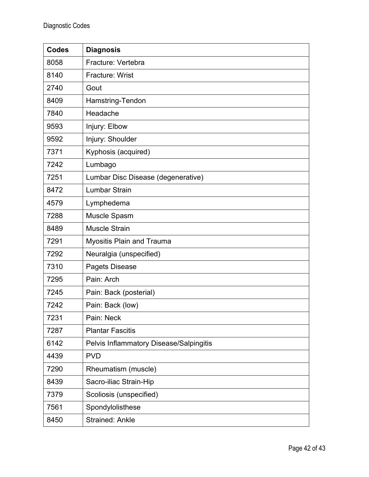| <b>Codes</b> | <b>Diagnosis</b>                        |
|--------------|-----------------------------------------|
| 8058         | Fracture: Vertebra                      |
| 8140         | <b>Fracture: Wrist</b>                  |
| 2740         | Gout                                    |
| 8409         | Hamstring-Tendon                        |
| 7840         | Headache                                |
| 9593         | Injury: Elbow                           |
| 9592         | Injury: Shoulder                        |
| 7371         | Kyphosis (acquired)                     |
| 7242         | Lumbago                                 |
| 7251         | Lumbar Disc Disease (degenerative)      |
| 8472         | <b>Lumbar Strain</b>                    |
| 4579         | Lymphedema                              |
| 7288         | Muscle Spasm                            |
| 8489         | Muscle Strain                           |
| 7291         | Myositis Plain and Trauma               |
| 7292         | Neuralgia (unspecified)                 |
| 7310         | Pagets Disease                          |
| 7295         | Pain: Arch                              |
| 7245         | Pain: Back (posterial)                  |
| 7242         | Pain: Back (low)                        |
| 7231         | Pain: Neck                              |
| 7287         | <b>Plantar Fascitis</b>                 |
| 6142         | Pelvis Inflammatory Disease/Salpingitis |
| 4439         | <b>PVD</b>                              |
| 7290         | Rheumatism (muscle)                     |
| 8439         | Sacro-iliac Strain-Hip                  |
| 7379         | Scoliosis (unspecified)                 |
| 7561         | Spondylolisthese                        |
| 8450         | <b>Strained: Ankle</b>                  |